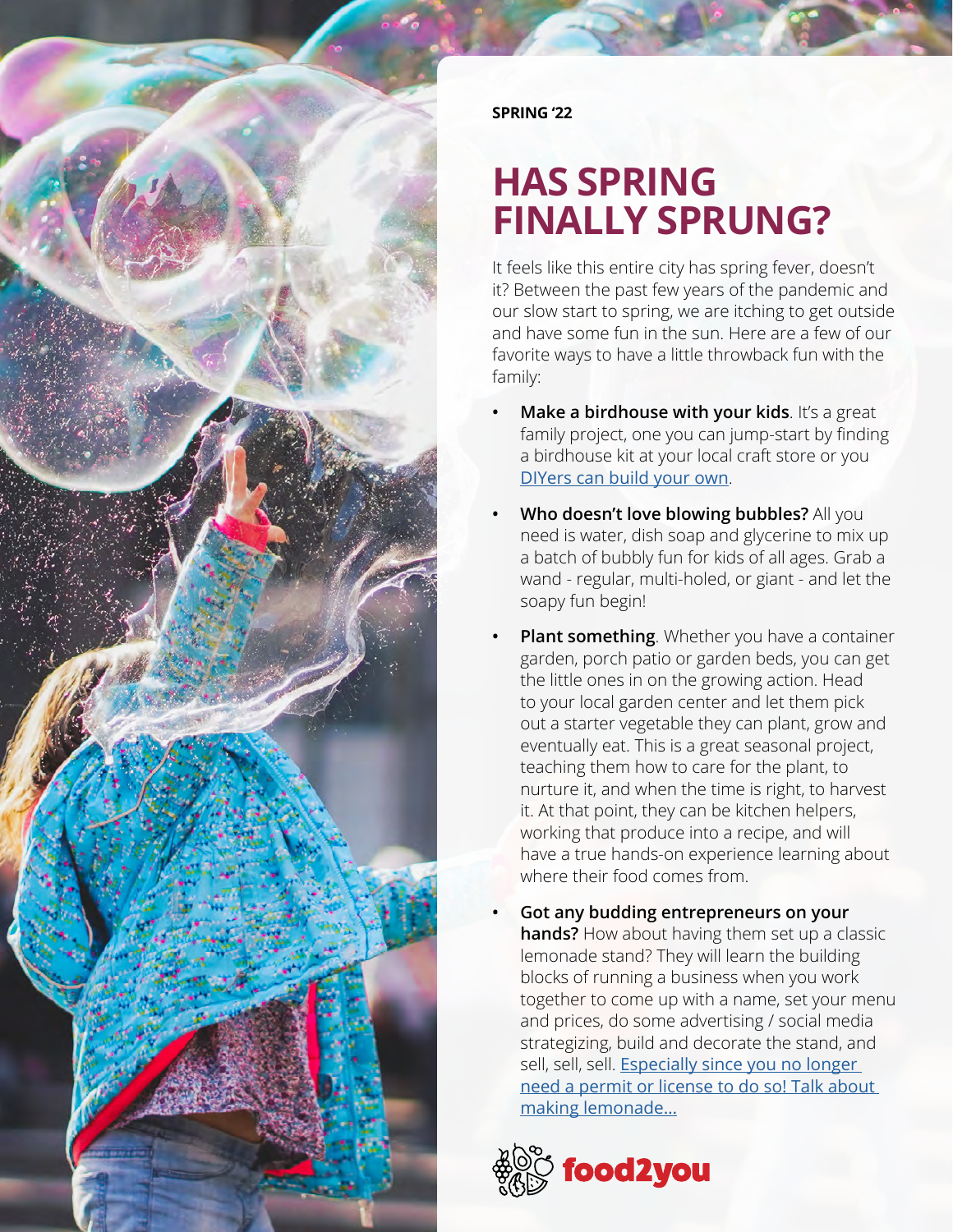

**SPRING '22**

#### **HAS SPRING FINALLY SPRUNG?**

It feels like this entire city has spring fever, doesn't it? Between the past few years of the pandemic and our slow start to spring, we are itching to get outside and have some fun in the sun. Here are a few of our favorite ways to have a little throwback fun with the family:

- **• Make a birdhouse with your kids**. It's a great family project, one you can jump-start by finding a birdhouse kit at your local craft store or you [DIYers can build your own](https://www.thespruce.com/before-you-build-a-birdhouse-386647).
- **• Who doesn't love blowing bubbles?** All you need is water, dish soap and glycerine to mix up a batch of bubbly fun for kids of all ages. Grab a wand - regular, multi-holed, or giant - and let the soapy fun begin!
- **• Plant something**. Whether you have a container garden, porch patio or garden beds, you can get the little ones in on the growing action. Head to your local garden center and let them pick out a starter vegetable they can plant, grow and eventually eat. This is a great seasonal project, teaching them how to care for the plant, to nurture it, and when the time is right, to harvest it. At that point, they can be kitchen helpers, working that produce into a recipe, and will have a true hands-on experience learning about where their food comes from.
- **• Got any budding entrepreneurs on your hands?** How about having them set up a classic lemonade stand? They will learn the building blocks of running a business when you work together to come up with a name, set your menu and prices, do some advertising / social media strategizing, build and decorate the stand, and sell, sell, sell. Especially since you no longer [need a permit or license to do so! Talk about](https://www.thecentersquare.com/illinois/new-legislation-allows-kids-to-run-lemonade-stands-without-permits/article_1d54331c-e5a8-11eb-8e52-eb4fd320b547.html#:~:text=Pritzker%20signed%20a%20bill%20into,a%20government%20permit%20or%20license.)  [making lemonade…](https://www.thecentersquare.com/illinois/new-legislation-allows-kids-to-run-lemonade-stands-without-permits/article_1d54331c-e5a8-11eb-8e52-eb4fd320b547.html#:~:text=Pritzker%20signed%20a%20bill%20into,a%20government%20permit%20or%20license.)

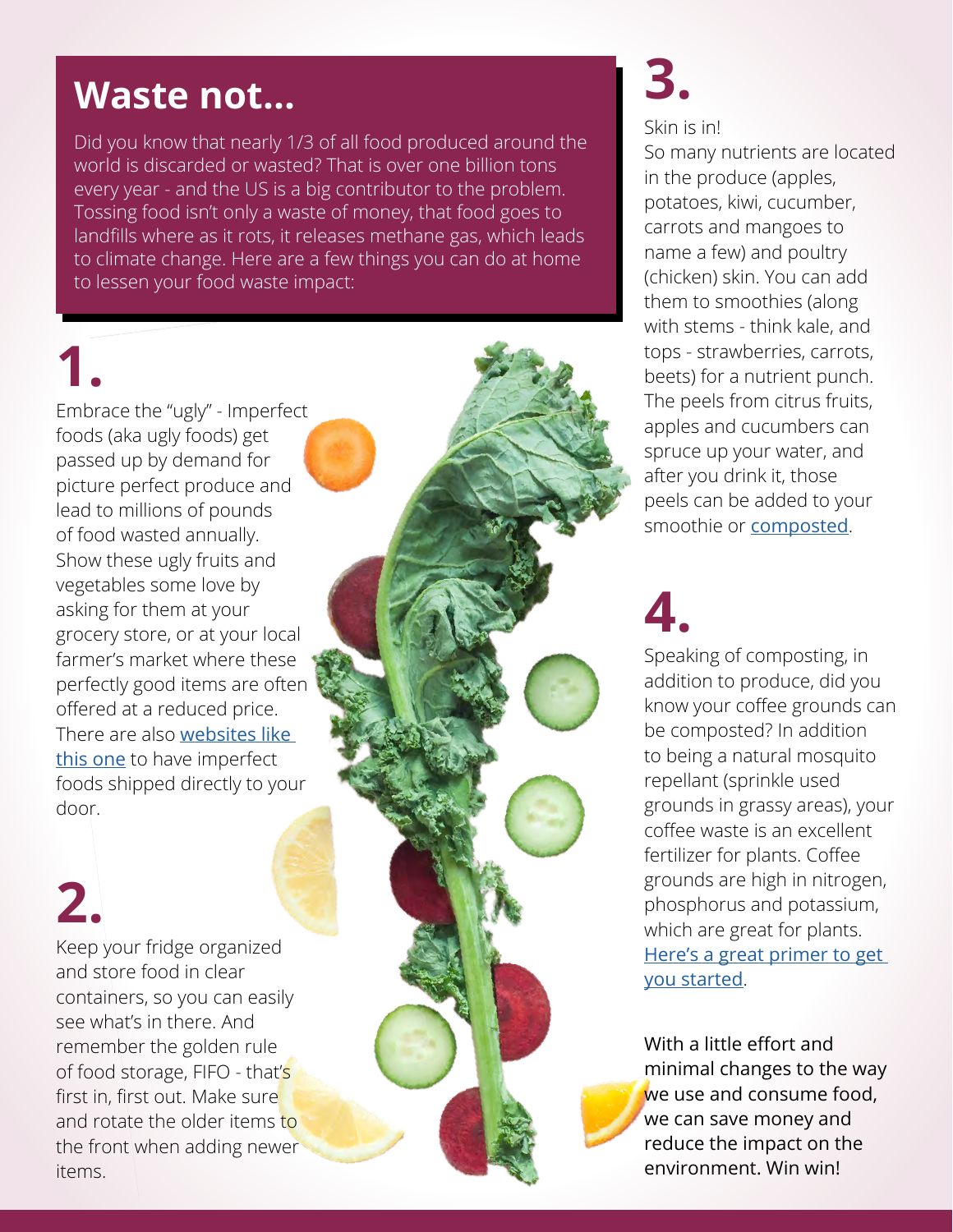#### **Waste not...**

Did you know that nearly 1/3 of all food produced around the world is discarded or wasted? That is over one billion tons every year - and the US is a big contributor to the problem. Tossing food isn't only a waste of money, that food goes to landfills where as it rots, it releases methane gas, which leads to climate change. Here are a few things you can do at home to lessen your food waste impact:

## **1.**

Embrace the "ugly" - Imperfect foods (aka ugly foods) get passed up by demand for picture perfect produce and lead to millions of pounds of food wasted annually. Show these ugly fruits and vegetables some love by asking for them at your grocery store, or at your local farmer's market where these perfectly good items are often offered at a reduced price. There are also [websites like](https://www.imperfectfoods.com/)  [this one](https://www.imperfectfoods.com/) to have imperfect foods shipped directly to your door.

## **2.**

Keep your fridge organized and store food in clear containers, so you can easily see what's in there. And remember the golden rule of food storage, FIFO - that's first in, first out. Make sure and rotate the older items to the front when adding newer items.

# **3.**

#### Skin is in!

So many nutrients are located in the produce (apples, potatoes, kiwi, cucumber, carrots and mangoes to name a few) and poultry (chicken) skin. You can add them to smoothies (along with stems - think kale, and tops - strawberries, carrots, beets) for a nutrient punch. The peels from citrus fruits, apples and cucumbers can spruce up your water, and after you drink it, those peels can be added to your smoothie or [composted](https://www.epa.gov/recycle/composting-home).

### **4.**

Speaking of composting, in addition to produce, did you know your coffee grounds can be composted? In addition to being a natural mosquito repellant (sprinkle used grounds in grassy areas), your coffee waste is an excellent fertilizer for plants. Coffee grounds are high in nitrogen, phosphorus and potassium, which are great for plants. [Here's a great primer to get](https://www.npr.org/2020/04/07/828918397/how-to-compost-at-home)  [you started](https://www.npr.org/2020/04/07/828918397/how-to-compost-at-home).

With a little effort and minimal changes to the way we use and consume food, we can save money and reduce the impact on the environment. Win win!